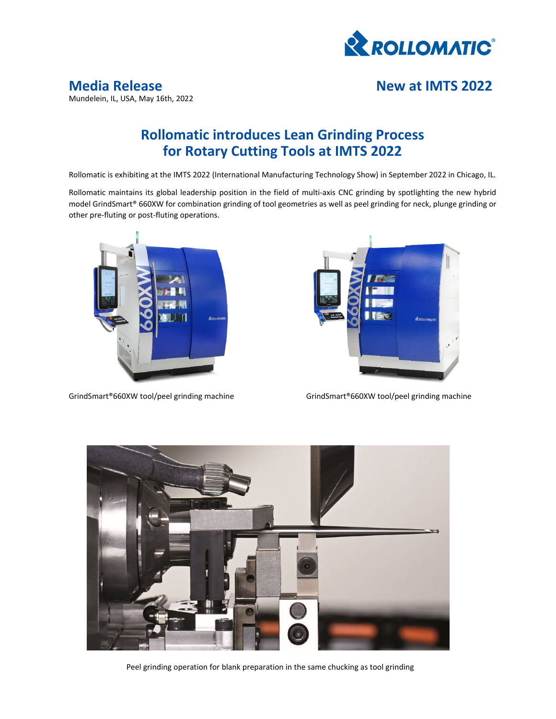

## **Rollomatic introduces Lean Grinding Process for Rotary Cutting Tools at IMTS 2022**

Rollomatic is exhibiting at the IMTS 2022 (International Manufacturing Technology Show) in September 2022 in Chicago, IL.

Rollomatic maintains its global leadership position in the field of multi-axis CNC grinding by spotlighting the new hybrid model GrindSmart® 660XW for combination grinding of tool geometries as well as peel grinding for neck, plunge grinding or other pre‐fluting or post‐fluting operations.





GrindSmart®660XW tool/peel grinding machine GrindSmart®660XW tool/peel grinding machine



Peel grinding operation for blank preparation in the same chucking as tool grinding